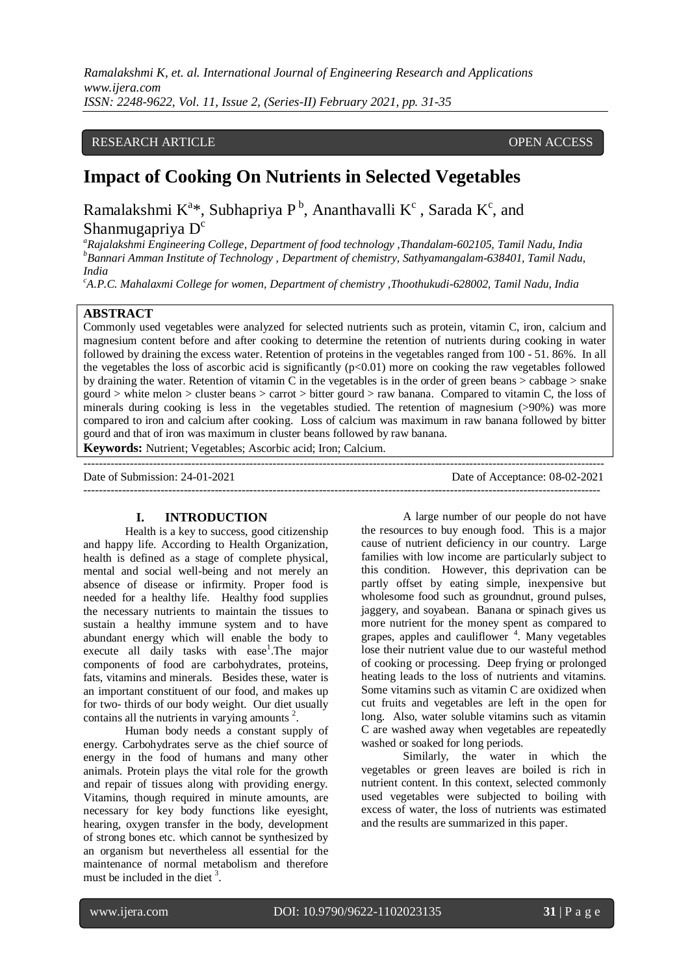*Ramalakshmi K, et. al. International Journal of Engineering Research and Applications www.ijera.com ISSN: 2248-9622, Vol. 11, Issue 2, (Series-II) February 2021, pp. 31-35*

## RESEARCH ARTICLE **OPEN ACCESS**

# **Impact of Cooking On Nutrients in Selected Vegetables**

Ramalakshmi  $K^{a*}$ , Subhapriya P<sup>b</sup>, Ananthavalli  $K^{c}$ , Sarada  $K^{c}$ , and Shanmugapriya D<sup>c</sup>

*<sup>a</sup>Rajalakshmi Engineering College, Department of food technology ,Thandalam-602105, Tamil Nadu, India <sup>b</sup>Bannari Amman Institute of Technology , Department of chemistry, Sathyamangalam-638401, Tamil Nadu, India*

*<sup>c</sup>A.P.C. Mahalaxmi College for women, Department of chemistry ,Thoothukudi-628002, Tamil Nadu, India*

# **ABSTRACT**

Commonly used vegetables were analyzed for selected nutrients such as protein, vitamin C, iron, calcium and magnesium content before and after cooking to determine the retention of nutrients during cooking in water followed by draining the excess water. Retention of proteins in the vegetables ranged from 100 - 51. 86%. In all the vegetables the loss of ascorbic acid is significantly  $(p<0.01)$  more on cooking the raw vegetables followed by draining the water. Retention of vitamin  $\overline{C}$  in the vegetables is in the order of green beans  $>$  cabbage  $>$  snake gourd > white melon > cluster beans > carrot > bitter gourd > raw banana. Compared to vitamin C, the loss of minerals during cooking is less in the vegetables studied. The retention of magnesium (>90%) was more compared to iron and calcium after cooking. Loss of calcium was maximum in raw banana followed by bitter gourd and that of iron was maximum in cluster beans followed by raw banana.

**Keywords:** Nutrient; Vegetables; Ascorbic acid; Iron; Calcium. ---------------------------------------------------------------------------------------------------------------------------------------

Date of Submission: 24-01-2021 Date of Acceptance: 08-02-2021 --------------------------------------------------------------------------------------------------------------------------------------

#### **I. INTRODUCTION**

Health is a key to success, good citizenship and happy life. According to Health Organization, health is defined as a stage of complete physical, mental and social well-being and not merely an absence of disease or infirmity. Proper food is needed for a healthy life. Healthy food supplies the necessary nutrients to maintain the tissues to sustain a healthy immune system and to have abundant energy which will enable the body to execute all daily tasks with ease<sup>1</sup>. The major components of food are carbohydrates, proteins, fats, vitamins and minerals. Besides these, water is an important constituent of our food, and makes up for two- thirds of our body weight. Our diet usually contains all the nutrients in varying amounts $^2$ .

Human body needs a constant supply of energy. Carbohydrates serve as the chief source of energy in the food of humans and many other animals. Protein plays the vital role for the growth and repair of tissues along with providing energy. Vitamins, though required in minute amounts, are necessary for key body functions like eyesight, hearing, oxygen transfer in the body, development of strong bones etc. which cannot be synthesized by an organism but nevertheless all essential for the maintenance of normal metabolism and therefore must be included in the diet  $3$ .

A large number of our people do not have the resources to buy enough food. This is a major cause of nutrient deficiency in our country. Large families with low income are particularly subject to this condition. However, this deprivation can be partly offset by eating simple, inexpensive but wholesome food such as groundnut, ground pulses, jaggery, and soyabean. Banana or spinach gives us more nutrient for the money spent as compared to grapes, apples and cauliflower<sup>4</sup>. Many vegetables lose their nutrient value due to our wasteful method of cooking or processing. Deep frying or prolonged heating leads to the loss of nutrients and vitamins. Some vitamins such as vitamin C are oxidized when cut fruits and vegetables are left in the open for long. Also, water soluble vitamins such as vitamin C are washed away when vegetables are repeatedly washed or soaked for long periods.

Similarly, the water in which the vegetables or green leaves are boiled is rich in nutrient content. In this context, selected commonly used vegetables were subjected to boiling with excess of water, the loss of nutrients was estimated and the results are summarized in this paper.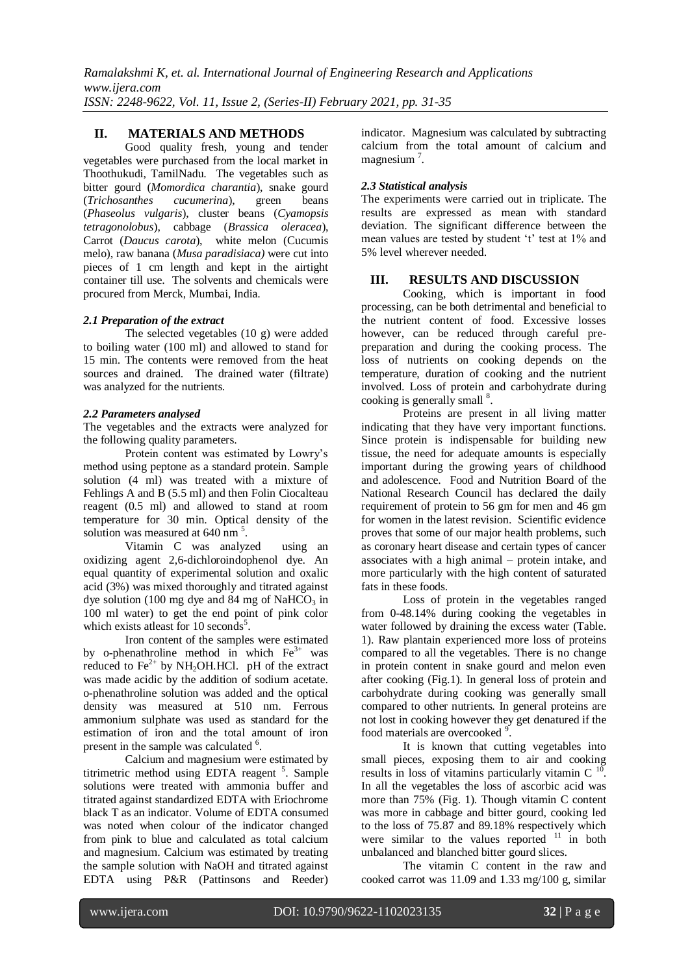*Ramalakshmi K, et. al. International Journal of Engineering Research and Applications www.ijera.com ISSN: 2248-9622, Vol. 11, Issue 2, (Series-II) February 2021, pp. 31-35*

### **II. MATERIALS AND METHODS**

Good quality fresh, young and tender vegetables were purchased from the local market in Thoothukudi, TamilNadu. The vegetables such as bitter gourd (*Momordica charantia*), snake gourd (*Trichosanthes cucumerina*), green beans (*Phaseolus vulgaris*), cluster beans (*Cyamopsis tetragonolobus*), cabbage (*Brassica oleracea*), Carrot (*Daucus carota*), white melon (Cucumis melo), raw banana (*Musa paradisiaca)* were cut into pieces of 1 cm length and kept in the airtight container till use. The solvents and chemicals were procured from Merck, Mumbai, India.

### *2.1 Preparation of the extract*

The selected vegetables (10 g) were added to boiling water (100 ml) and allowed to stand for 15 min. The contents were removed from the heat sources and drained. The drained water (filtrate) was analyzed for the nutrients.

#### *2.2 Parameters analysed*

The vegetables and the extracts were analyzed for the following quality parameters.

Protein content was estimated by Lowry's method using peptone as a standard protein. Sample solution (4 ml) was treated with a mixture of Fehlings A and B (5.5 ml) and then Folin Ciocalteau reagent (0.5 ml) and allowed to stand at room temperature for 30 min. Optical density of the solution was measured at 640 nm<sup>5</sup>.

Vitamin C was analyzed using an oxidizing agent 2,6-dichloroindophenol dye. An equal quantity of experimental solution and oxalic acid (3%) was mixed thoroughly and titrated against dye solution (100 mg dye and 84 mg of NaHCO<sub>3</sub> in 100 ml water) to get the end point of pink color which exists atleast for 10 seconds<sup>5</sup>.

Iron content of the samples were estimated by o-phenathroline method in which  $Fe<sup>3+</sup>$  was reduced to  $Fe^{2+}$  by NH<sub>2</sub>OH.HCl. pH of the extract was made acidic by the addition of sodium acetate. o-phenathroline solution was added and the optical density was measured at 510 nm. Ferrous ammonium sulphate was used as standard for the estimation of iron and the total amount of iron present in the sample was calculated <sup>6</sup>.

Calcium and magnesium were estimated by titrimetric method using EDTA reagent <sup>5</sup>. Sample solutions were treated with ammonia buffer and titrated against standardized EDTA with Eriochrome black T as an indicator. Volume of EDTA consumed was noted when colour of the indicator changed from pink to blue and calculated as total calcium and magnesium. Calcium was estimated by treating the sample solution with NaOH and titrated against EDTA using P&R (Pattinsons and Reeder)

indicator. Magnesium was calculated by subtracting calcium from the total amount of calcium and magnesium<sup>7</sup>.

#### *2.3 Statistical analysis*

The experiments were carried out in triplicate. The results are expressed as mean with standard deviation. The significant difference between the mean values are tested by student 't' test at 1% and 5% level wherever needed.

### **III. RESULTS AND DISCUSSION**

Cooking, which is important in food processing, can be both detrimental and beneficial to the nutrient content of food. Excessive losses however, can be reduced through careful prepreparation and during the cooking process. The loss of nutrients on cooking depends on the temperature, duration of cooking and the nutrient involved. Loss of protein and carbohydrate during cooking is generally small <sup>8</sup>.

Proteins are present in all living matter indicating that they have very important functions. Since protein is indispensable for building new tissue, the need for adequate amounts is especially important during the growing years of childhood and adolescence. Food and Nutrition Board of the National Research Council has declared the daily requirement of protein to 56 gm for men and 46 gm for women in the latest revision. Scientific evidence proves that some of our major health problems, such as coronary heart disease and certain types of cancer associates with a high animal – protein intake, and more particularly with the high content of saturated fats in these foods.

Loss of protein in the vegetables ranged from 0-48.14% during cooking the vegetables in water followed by draining the excess water (Table. 1). Raw plantain experienced more loss of proteins compared to all the vegetables. There is no change in protein content in snake gourd and melon even after cooking (Fig.1). In general loss of protein and carbohydrate during cooking was generally small compared to other nutrients. In general proteins are not lost in cooking however they get denatured if the food materials are overcooked<sup>9</sup>.

It is known that cutting vegetables into small pieces, exposing them to air and cooking results in loss of vitamins particularly vitamin C  $^{10}$ . In all the vegetables the loss of ascorbic acid was more than 75% (Fig. 1). Though vitamin C content was more in cabbage and bitter gourd, cooking led to the loss of 75.87 and 89.18% respectively which were similar to the values reported  $11$  in both unbalanced and blanched bitter gourd slices.

The vitamin C content in the raw and cooked carrot was 11.09 and 1.33 mg/100 g, similar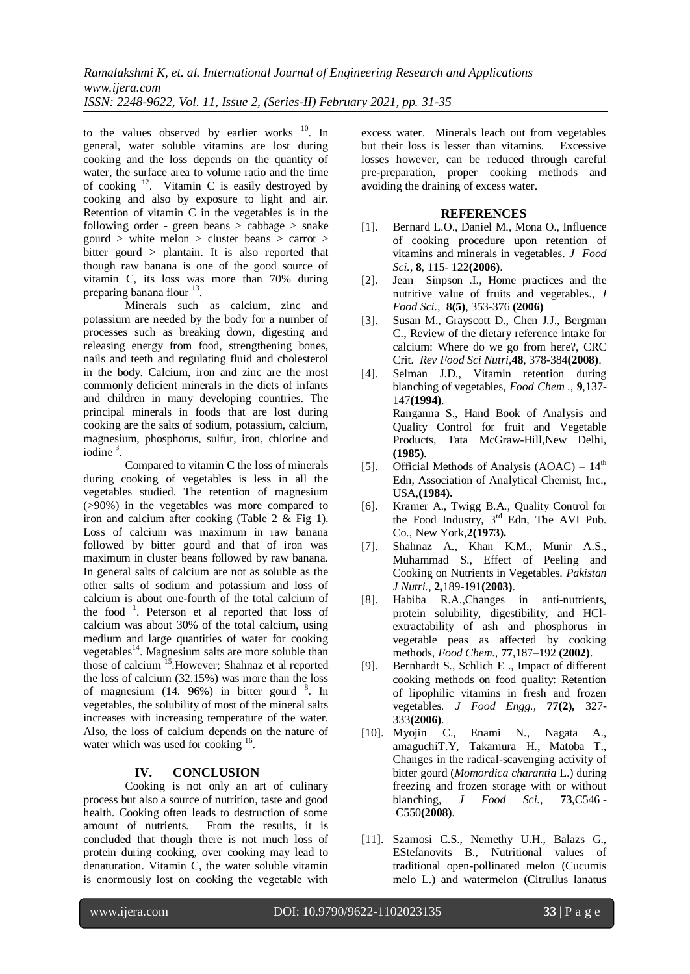to the values observed by earlier works  $10$ . In general, water soluble vitamins are lost during cooking and the loss depends on the quantity of water, the surface area to volume ratio and the time of cooking  $12$ . Vitamin C is easily destroyed by cooking and also by exposure to light and air. Retention of vitamin C in the vegetables is in the following order - green beans  $>$  cabbage  $>$  snake gourd  $>$  white melon  $>$  cluster beans  $>$  carrot  $>$ bitter gourd  $>$  plantain. It is also reported that though raw banana is one of the good source of vitamin C, its loss was more than 70% during preparing banana flour <sup>13</sup>.

Minerals such as calcium, zinc and potassium are needed by the body for a number of processes such as breaking down, digesting and releasing energy from food, strengthening bones, nails and teeth and regulating fluid and cholesterol in the body. Calcium, iron and zinc are the most commonly deficient minerals in the diets of infants and children in many developing countries. The principal minerals in foods that are lost during cooking are the salts of sodium, potassium, calcium, magnesium, phosphorus, sulfur, iron, chlorine and iodine<sup>3</sup>.

Compared to vitamin C the loss of minerals during cooking of vegetables is less in all the vegetables studied. The retention of magnesium (>90%) in the vegetables was more compared to iron and calcium after cooking (Table 2  $\&$  Fig 1). Loss of calcium was maximum in raw banana followed by bitter gourd and that of iron was maximum in cluster beans followed by raw banana. In general salts of calcium are not as soluble as the other salts of sodium and potassium and loss of calcium is about one-fourth of the total calcium of the food<sup>1</sup>. Peterson et al reported that loss of calcium was about 30% of the total calcium, using medium and large quantities of water for cooking vegetables<sup>14</sup>. Magnesium salts are more soluble than those of calcium<sup>15</sup>. However; Shahnaz et al reported the loss of calcium (32.15%) was more than the loss of magnesium  $(14. 96%)$  in bitter gourd  $8$ . In vegetables, the solubility of most of the mineral salts increases with [increasing](http://chestofbooks.com/food/science/Experimental-Cookery/Increasing-And-Lessening-The-Degree-Of-Dispersion-Of-Substan.html) temperature of the water. Also, the loss of calcium depends on the nature of water which was used for cooking <sup>16</sup>.

### **IV. CONCLUSION**

Cooking is not only an art of culinary process but also a source of nutrition, taste and good health. Cooking often leads to destruction of some amount of nutrients. From the results, it is concluded that though there is not much loss of protein during cooking, over cooking may lead to denaturation. Vitamin C, the water soluble vitamin is enormously lost on cooking the vegetable with excess water. Minerals leach out from vegetables but their loss is lesser than vitamins. Excessive losses however, can be reduced through careful pre-preparation, proper cooking methods and avoiding the draining of excess water.

#### **REFERENCES**

- [1]. Bernard L.O., Daniel M., Mona O., Influence of cooking procedure upon retention of vitamins and minerals in vegetables. *[J Food](http://www3.interscience.wiley.com/journal/118509799/home)  [Sci.](http://www3.interscience.wiley.com/journal/118509799/home),* **8**, 115- 122**[\(2](http://www3.interscience.wiley.com/journal/119795120/issue)006)**.
- [2]. Jean Sinpson .I., Home practices and the nutritive value of fruits and vegetables., *[J](http://www3.interscience.wiley.com/journal/118509799/home)  [Food Sci.](http://www3.interscience.wiley.com/journal/118509799/home),* **[8\(5\)](http://www3.interscience.wiley.com/journal/119795144/issue)**, 353-376 **(2006)**
- [3]. Susan M., Grayscott D., Chen J.J., Bergman C., Review of the dietary reference intake for calcium: Where do we go from here?, CRC Crit. *Rev Food Sci Nutri*,**48**, 378-384**(2008)**.
- [4]. Selman J.D., Vitamin retention during blanching of vegetables, *Food Chem .,* **9**,137- 147**(1994)**. Ranganna S., Hand Book of Analysis and Quality Control for fruit and Vegetable Products, Tata McGraw-Hill, New Delhi, **(1985)**.
- [5]. Official Methods of Analysis  $(AOAC) 14<sup>th</sup>$ Edn, Association of Analytical Chemist, Inc., USA,**(1984).**
- [6]. Kramer A., Twigg B.A., Quality Control for the Food Industry, 3<sup>rd</sup> Edn, The AVI Pub. Co., New York,**2(1973).**
- [7]. Shahnaz A., Khan K.M., Munir A.S., Muhammad S., Effect of Peeling and Cooking on Nutrients in Vegetables. *Pakistan J Nutri.*, **2,**189-191**(2003)**.
- [8]. Habiba R.A.,Changes in anti-nutrients, protein solubility, digestibility, and HClextractability of ash and phosphorus in vegetable peas as affected by cooking methods, *Food Chem.,* **77**,187–192 **(2002)**.
- [9]. Bernhardt S., Schlich E ., Impact of different cooking methods on food quality: Retention of lipophilic vitamins in fresh and frozen vegetables*. J Food Engg.,* **77(2),** 327- 333**(2006)**.
- [10]. Myojin C., Enami N., Nagata A., amaguchiT.Y, Takamura H., Matoba T., Changes in the radical-scavenging activity of bitter gourd (*Momordica charantia* L.) during freezing and frozen storage with or without blanching, *J Food Sci.,* **73**,C546 - C550**(2008)**.
- [11]. Szamosi C.S., Nemethy U.H., Balazs G., EStefanovits B., Nutritional values of traditional open-pollinated melon (Cucumis melo L.) and watermelon (Citrullus lanatus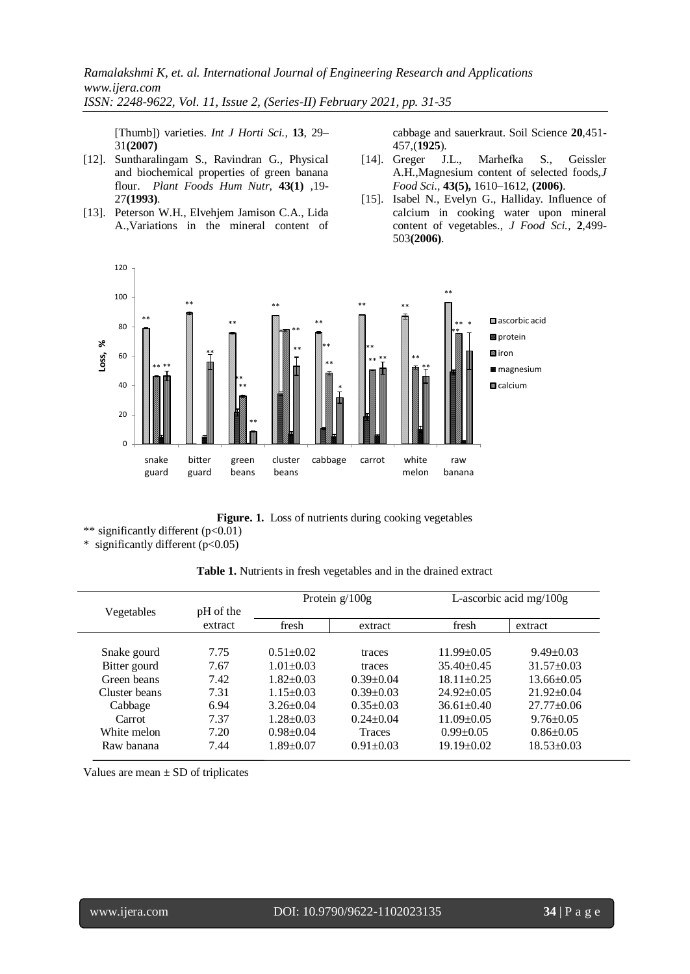*Ramalakshmi K, et. al. International Journal of Engineering Research and Applications www.ijera.com ISSN: 2248-9622, Vol. 11, Issue 2, (Series-II) February 2021, pp. 31-35*

[Thumb]) varieties. *Int J Horti Sci.,* **13**, 29– 31**(2007)**

- [12]. Suntharalingam S., Ravindran G., Physical and biochemical properties of green banana flour. *[Plant Foods Hum Nutr](http://www.springerlink.com/content/102980/?p=5ff29c2a63b0402598f592c5442782ea&pi=0)*, **[43\(1\)](http://www.springerlink.com/content/102980/?p=5ff29c2a63b0402598f592c5442782ea&pi=0)** ,19- 27**(1993)**.
- [13]. Peterson W.H., Elvehjem Jamison C.A., Lida A.,Variations in the mineral content of

cabbage and sauerkraut. Soil Science **20**,451- 457,(**1925**).

- [14]. Greger J.L., Marhefka S., Geissler A.H.,Magnesium content of selected foods,*[J](http://www3.interscience.wiley.com/journal/118509799/home)  [Food Sci.](http://www3.interscience.wiley.com/journal/118509799/home),* **[43\(5\)](http://www3.interscience.wiley.com/journal/119614049/issue),** 1610–1612, **(2006)**.
- [15]. Isabel N., Evelyn G., Halliday. Influence of calcium in cooking water upon mineral content of vegetables., *J Food Sci.,* **2**,499- 503**(2006)**.



Figure. 1. Loss of nutrients during cooking vegetables

\*\* significantly different (p<0.01)

\* significantly different (p<0.05)

| Table 1. Nutrients in fresh vegetables and in the drained extract |  |  |  |  |
|-------------------------------------------------------------------|--|--|--|--|
|-------------------------------------------------------------------|--|--|--|--|

| Vegetables    | pH of the | Protein $g/100g$ |                 | L-ascorbic acid mg/ $100g$ |                  |  |  |
|---------------|-----------|------------------|-----------------|----------------------------|------------------|--|--|
|               | extract   | fresh            | extract         | fresh                      | extract          |  |  |
| Snake gourd   | 7.75      | $0.51 \pm 0.02$  | traces          | $11.99 \pm 0.05$           | $9.49 \pm 0.03$  |  |  |
| Bitter gourd  | 7.67      | $1.01 \pm 0.03$  | traces          | $35.40\pm0.45$             | $31.57 \pm 0.03$ |  |  |
| Green beans   | 7.42      | $1.82 \pm 0.03$  | $0.39+0.04$     | $18.11 \pm 0.25$           | $13.66 \pm 0.05$ |  |  |
| Cluster beans | 7.31      | $1.15 \pm 0.03$  | $0.39 \pm 0.03$ | $24.92 \pm 0.05$           | $21.92 \pm 0.04$ |  |  |
| Cabbage       | 6.94      | $3.26 \pm 0.04$  | $0.35 \pm 0.03$ | $36.61 \pm 0.40$           | $27.77 \pm 0.06$ |  |  |
| Carrot        | 7.37      | $1.28 \pm 0.03$  | $0.24 + 0.04$   | $11.09 \pm 0.05$           | $9.76 \pm 0.05$  |  |  |
| White melon   | 7.20      | $0.98 + 0.04$    | <b>Traces</b>   | $0.99 \pm 0.05$            | $0.86 \pm 0.05$  |  |  |
| Raw banana    | 7.44      | $1.89 \pm 0.07$  | $0.91 \pm 0.03$ | $19.19 \pm 0.02$           | $18.53 \pm 0.03$ |  |  |

Values are mean  $\pm$  SD of triplicates